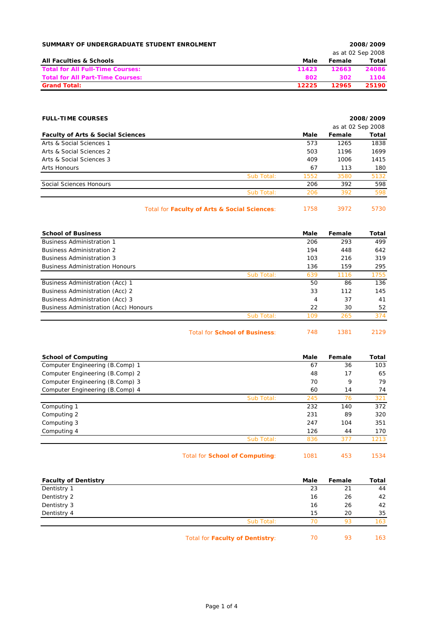| SUMMARY OF UNDERGRADUATE STUDENT ENROLMENT |       | 2008/2009 |                   |  |  |
|--------------------------------------------|-------|-----------|-------------------|--|--|
|                                            |       |           | as at 02 Sep 2008 |  |  |
| <b>All Faculties &amp; Schools</b>         | Male  | Female    | Total             |  |  |
| <b>Total for All Full-Time Courses:</b>    | 11423 | 12663     | 24086             |  |  |
| <b>Total for All Part-Time Courses:</b>    | 802   | 302       | 1104              |  |  |
| <b>Grand Total:</b>                        | 12225 | 12965     | 25190             |  |  |

| <b>FULL-TIME COURSES</b>                     |                                              | 2008/2009 |                   |       |
|----------------------------------------------|----------------------------------------------|-----------|-------------------|-------|
|                                              |                                              |           | as at 02 Sep 2008 |       |
| <b>Faculty of Arts &amp; Social Sciences</b> |                                              | Male      | Female            | Total |
| Arts & Social Sciences 1                     |                                              | 573       | 1265              | 1838  |
| Arts & Social Sciences 2                     |                                              | 503       | 1196              | 1699  |
| Arts & Social Sciences 3                     |                                              | 409       | 1006              | 1415  |
| Arts Honours                                 |                                              | 67        | 113               | 180   |
|                                              | Sub Total:                                   | 1552      | 3580              | 5132  |
| Social Sciences Honours                      |                                              | 206       | 392               | 598   |
|                                              | Sub Total:                                   | 206       | 392               | 598   |
|                                              | Total for Faculty of Arts & Social Sciences: | 1758      | 3972              | 5730  |

| <b>School of Business</b>              | Male | Female | Total |
|----------------------------------------|------|--------|-------|
| <b>Business Administration 1</b>       | 206  | 293    | 499   |
| <b>Business Administration 2</b>       | 194  | 448    | 642   |
| <b>Business Administration 3</b>       | 103  | 216    | 319   |
| <b>Business Administration Honours</b> | 136  | 159    | 295   |
| Sub Total:                             | 639  | 1116   | 1755  |
| <b>Business Administration (Acc) 1</b> | 50   | 86     | 136   |
| Business Administration (Acc) 2        | 33   | 112    | 145   |
| Business Administration (Acc) 3        | 4    | 37     | 41    |
| Business Administration (Acc) Honours  | 22   | 30     | 52    |
| Sub Total:                             | 109  | 265    | 374   |

Total for **School of Business**: 748 1381 2129

| <b>School of Computing</b>      |            | Male | Female | Total |
|---------------------------------|------------|------|--------|-------|
| Computer Engineering (B.Comp) 1 |            | 67   | 36     | 103   |
| Computer Engineering (B.Comp) 2 |            | 48   | 17     | 65    |
| Computer Engineering (B.Comp) 3 |            | 70   | 9      | 79    |
| Computer Engineering (B.Comp) 4 |            | 60   | 14     | 74    |
|                                 | Sub Total: | 245  | 76     | 321   |
| Computing 1                     |            | 232  | 140    | 372   |
| Computing 2                     |            | 231  | 89     | 320   |
| Computing 3                     |            | 247  | 104    | 351   |
| Computing 4                     |            | 126  | 44     | 170   |
|                                 | Sub Total: | 836  | 377    | 1213  |
|                                 |            |      |        |       |

Total for **School of Computing**: 1081 453 1534

| <b>Faculty of Dentistry</b> |                                        | Male | Female | Total |
|-----------------------------|----------------------------------------|------|--------|-------|
| Dentistry 1                 |                                        | 23   | 21     | 44    |
| Dentistry 2                 |                                        | 16   | 26     | 42    |
| Dentistry 3                 |                                        | 16   | 26     | 42    |
| Dentistry 4                 |                                        | 15   | 20     | 35    |
|                             | Sub Total:                             | 70   | 93     | 163   |
|                             | <b>Total for Faculty of Dentistry:</b> | 70   | 93     | 163   |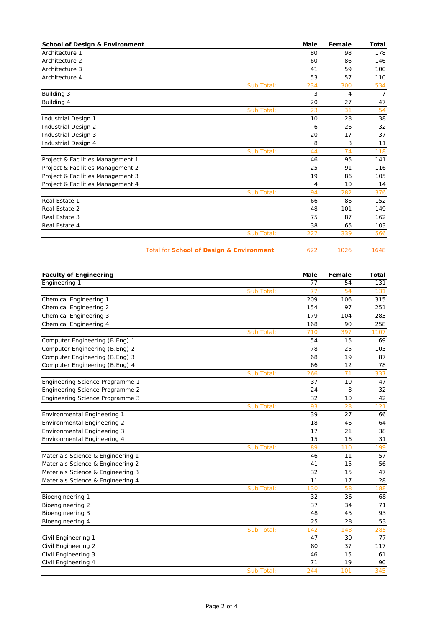| <b>School of Design &amp; Environment</b> |            | Male | Female | Total          |
|-------------------------------------------|------------|------|--------|----------------|
| Architecture 1                            |            | 80   | 98     | 178            |
| Architecture 2                            |            | 60   | 86     | 146            |
| Architecture 3                            |            | 41   | 59     | 100            |
| Architecture 4                            |            | 53   | 57     | 110            |
|                                           | Sub Total: | 234  | 300    | 534            |
| Building 3                                |            | 3    | 4      | $\overline{7}$ |
| Building 4                                |            | 20   | 27     | 47             |
|                                           | Sub Total: | 23   | 31     | 54             |
| Industrial Design 1                       |            | 10   | 28     | 38             |
| Industrial Design 2                       |            | 6    | 26     | 32             |
| Industrial Design 3                       |            | 20   | 17     | 37             |
| Industrial Design 4                       |            | 8    | 3      | 11             |
|                                           | Sub Total: | 44   | 74     | 118            |
| Project & Facilities Management 1         |            | 46   | 95     | 141            |
| Project & Facilities Management 2         |            | 25   | 91     | 116            |
| Project & Facilities Management 3         |            | 19   | 86     | 105            |
| Project & Facilities Management 4         |            | 4    | 10     | 14             |
|                                           | Sub Total: | 94   | 282    | 376            |
| Real Estate 1                             |            | 66   | 86     | 152            |
| Real Estate 2                             |            | 48   | 101    | 149            |
| Real Estate 3                             |            | 75   | 87     | 162            |
| Real Estate 4                             |            | 38   | 65     | 103            |
|                                           | Sub Total: | 227  | 339    | 566            |

Total for **School of Design & Environment**: 622 1026 1648

| <b>Faculty of Engineering</b>      |            | Male | Female | <b>Total</b> |
|------------------------------------|------------|------|--------|--------------|
| Engineering 1                      |            | 77   | 54     | 131          |
|                                    | Sub Total: | 77   | 54     | 131          |
| Chemical Engineering 1             |            | 209  | 106    | 315          |
| <b>Chemical Engineering 2</b>      |            | 154  | 97     | 251          |
| <b>Chemical Engineering 3</b>      |            | 179  | 104    | 283          |
| Chemical Engineering 4             |            | 168  | 90     | 258          |
|                                    | Sub Total: | 710  | 397    | 1107         |
| Computer Engineering (B.Eng) 1     |            | 54   | 15     | 69           |
| Computer Engineering (B.Eng) 2     |            | 78   | 25     | 103          |
| Computer Engineering (B.Eng) 3     |            | 68   | 19     | 87           |
| Computer Engineering (B.Eng) 4     |            | 66   | 12     | 78           |
|                                    | Sub Total: | 266  | 71     | 337          |
| Engineering Science Programme 1    |            | 37   | 10     | 47           |
| Engineering Science Programme 2    |            | 24   | 8      | 32           |
| Engineering Science Programme 3    |            | 32   | 10     | 42           |
|                                    | Sub Total: | 93   | 28     | 121          |
| Environmental Engineering 1        |            | 39   | 27     | 66           |
| Environmental Engineering 2        |            | 18   | 46     | 64           |
| <b>Environmental Engineering 3</b> |            | 17   | 21     | 38           |
| Environmental Engineering 4        |            | 15   | 16     | 31           |
|                                    | Sub Total: | 89   | 110    | 199          |
| Materials Science & Engineering 1  |            | 46   | 11     | 57           |
| Materials Science & Engineering 2  |            | 41   | 15     | 56           |
| Materials Science & Engineering 3  |            | 32   | 15     | 47           |
| Materials Science & Engineering 4  |            | 11   | 17     | 28           |
|                                    | Sub Total: | 130  | 58     | 188          |
| Bioengineering 1                   |            | 32   | 36     | 68           |
| Bioengineering 2                   |            | 37   | 34     | 71           |
| Bioengineering 3                   |            | 48   | 45     | 93           |
| Bioengineering 4                   |            | 25   | 28     | 53           |
|                                    | Sub Total: | 142  | 143    | 285          |
| Civil Engineering 1                |            | 47   | 30     | 77           |
| Civil Engineering 2                |            | 80   | 37     | 117          |
| Civil Engineering 3                |            | 46   | 15     | 61           |
| Civil Engineering 4                |            | 71   | 19     | 90           |
|                                    | Sub Total: | 244  | 101    | 345          |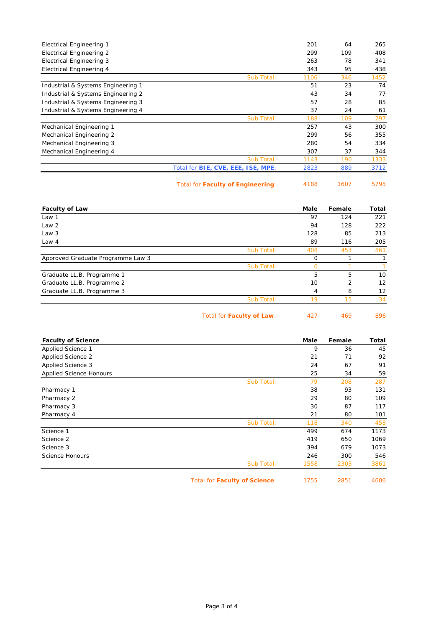| <b>Electrical Engineering 1</b>    |                                           | 201  | 64  | 265  |
|------------------------------------|-------------------------------------------|------|-----|------|
| Electrical Engineering 2           |                                           | 299  | 109 | 408  |
| <b>Electrical Engineering 3</b>    |                                           | 263  | 78  | 341  |
| Electrical Engineering 4           |                                           | 343  | 95  | 438  |
|                                    | Sub Total:                                | 1106 | 346 | 1452 |
| Industrial & Systems Engineering 1 |                                           | 51   | 23  | 74   |
| Industrial & Systems Engineering 2 |                                           | 43   | 34  | 77   |
| Industrial & Systems Engineering 3 |                                           | 57   | 28  | 85   |
| Industrial & Systems Engineering 4 |                                           | 37   | 24  | 61   |
|                                    | Sub Total:                                | 188  | 109 | 297  |
| Mechanical Engineering 1           |                                           | 257  | 43  | 300  |
| Mechanical Engineering 2           |                                           | 299  | 56  | 355  |
| Mechanical Engineering 3           |                                           | 280  | 54  | 334  |
| Mechanical Engineering 4           |                                           | 307  | 37  | 344  |
|                                    | Sub Total:                                | 1143 | 190 | 1333 |
|                                    | Total for <b>BIE, CVE, EEE, ISE, MPE:</b> | 2823 | 889 | 3712 |
|                                    |                                           |      |     |      |

Total for **Faculty of Engineering**: 4188 1607 5795

| <b>Faculty of Law</b>             |                           | Male | Female | <b>Total</b> |
|-----------------------------------|---------------------------|------|--------|--------------|
| Law 1                             |                           | 97   | 124    | 221          |
| Law <sub>2</sub>                  |                           | 94   | 128    | 222          |
| Law <sub>3</sub>                  |                           | 128  | 85     | 213          |
| Law $4$                           |                           | 89   | 116    | 205          |
|                                   | Sub Total:                | 408  | 453    | 861          |
| Approved Graduate Programme Law 3 |                           | 0    |        |              |
|                                   | Sub Total:                | Ω    |        |              |
| Graduate LL.B. Programme 1        |                           | 5    | 5      | 10           |
| Graduate LL.B. Programme 2        |                           | 10   | 2      | 12           |
| Graduate LL.B. Programme 3        |                           | 4    | 8      | 12           |
|                                   | Sub Total:                | 19   | 15     | 34           |
|                                   | Total for Faculty of Law: | 427  | 469    | 896          |

| <b>Faculty of Science</b>      |            | Male | Female | Total |
|--------------------------------|------------|------|--------|-------|
| Applied Science 1              |            | 9    | 36     | 45    |
| <b>Applied Science 2</b>       |            | 21   | 71     | 92    |
| Applied Science 3              |            | 24   | 67     | 91    |
| <b>Applied Science Honours</b> |            | 25   | 34     | 59    |
|                                | Sub Total: | 79   | 208    | 287   |
| Pharmacy 1                     |            | 38   | 93     | 131   |
| Pharmacy 2                     |            | 29   | 80     | 109   |
| Pharmacy 3                     |            | 30   | 87     | 117   |
| Pharmacy 4                     |            | 21   | 80     | 101   |
|                                | Sub Total: | 118  | 340    | 458   |
| Science 1                      |            | 499  | 674    | 1173  |
| Science 2                      |            | 419  | 650    | 1069  |
| Science 3                      |            | 394  | 679    | 1073  |
| Science Honours                |            | 246  | 300    | 546   |
|                                | Sub Total: | 1558 | 2303   | 3861  |
|                                |            |      |        |       |

Total for **Faculty of Science**: 1755 2851 4606